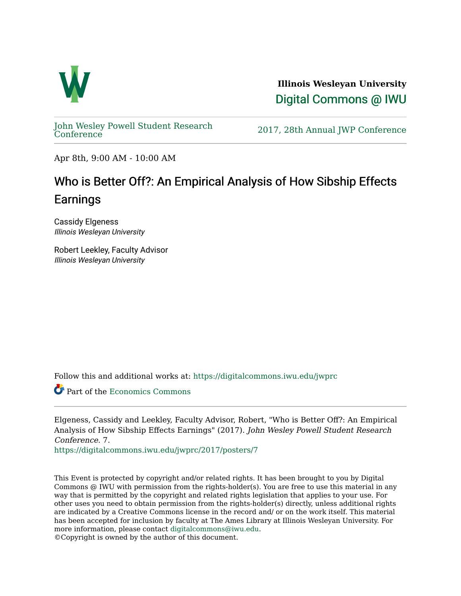

**Illinois Wesleyan University**  [Digital Commons @ IWU](https://digitalcommons.iwu.edu/) 

[John Wesley Powell Student Research](https://digitalcommons.iwu.edu/jwprc) 

2017, 28th Annual JWP [Conference](https://digitalcommons.iwu.edu/jwprc)

Apr 8th, 9:00 AM - 10:00 AM

## Who is Better Off?: An Empirical Analysis of How Sibship Effects Earnings

Cassidy Elgeness Illinois Wesleyan University

Robert Leekley, Faculty Advisor Illinois Wesleyan University

Follow this and additional works at: [https://digitalcommons.iwu.edu/jwprc](https://digitalcommons.iwu.edu/jwprc?utm_source=digitalcommons.iwu.edu%2Fjwprc%2F2017%2Fposters%2F7&utm_medium=PDF&utm_campaign=PDFCoverPages) 

Part of the [Economics Commons](http://network.bepress.com/hgg/discipline/340?utm_source=digitalcommons.iwu.edu%2Fjwprc%2F2017%2Fposters%2F7&utm_medium=PDF&utm_campaign=PDFCoverPages) 

Elgeness, Cassidy and Leekley, Faculty Advisor, Robert, "Who is Better Off?: An Empirical Analysis of How Sibship Effects Earnings" (2017). John Wesley Powell Student Research Conference. 7.

[https://digitalcommons.iwu.edu/jwprc/2017/posters/7](https://digitalcommons.iwu.edu/jwprc/2017/posters/7?utm_source=digitalcommons.iwu.edu%2Fjwprc%2F2017%2Fposters%2F7&utm_medium=PDF&utm_campaign=PDFCoverPages) 

This Event is protected by copyright and/or related rights. It has been brought to you by Digital Commons @ IWU with permission from the rights-holder(s). You are free to use this material in any way that is permitted by the copyright and related rights legislation that applies to your use. For other uses you need to obtain permission from the rights-holder(s) directly, unless additional rights are indicated by a Creative Commons license in the record and/ or on the work itself. This material has been accepted for inclusion by faculty at The Ames Library at Illinois Wesleyan University. For more information, please contact [digitalcommons@iwu.edu](mailto:digitalcommons@iwu.edu). ©Copyright is owned by the author of this document.